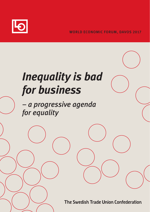

# *Inequality is bad for business*

*– a progressive agenda for equality*

The Swedish Trade Union Confederation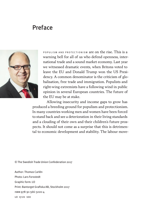### **Preface**



POPULISM AND PROTECTIONISM are on the rise. This is a warning bell for all of us who defend openness, international trade and a sound market economy. Last year we witnessed dramatic events, when Britons voted to leave the EU and Donald Trump won the US Presidency. A common denominator is the criticism of globalisation, free trade and immigration. Populists and right-wing extremists have a following wind in public opinion in several European countries. The future of the EU may be at stake.

Allowing insecurity and income gaps to grow has produced a breeding ground for populism and protectionism. In many countries working men and women have been forced to stand back and see a deterioration in their living standards and a clouding of their own and their children's future prospects. It should not come as a surprise that this is detrimental to economic development and stability. The labour move-

© The Swedish Trade Union Confederation 2017

Author: Thomas Carlén Photo: Lars Forsstedt Graphic form: LO Print: Bantorget Grafiska AB, Stockholm 2017 isbn 978-91-566-3220-4 LO 17.01 100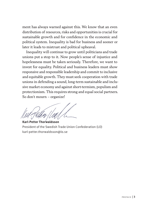ment has always warned against this. We know that an even distribution of resources, risks and opportunities is crucial for sustainable growth and for confidence in the economic and political system. Inequality is bad for business and sooner or later it leads to mistrust and political upheaval.

Inequality will continue to grow until politicians and trade unions put a stop to it. Now people's sense of injustice and hopelessness must be taken seriously. Therefore, we want to invest for equality. Political and business leaders must show responsive and responsible leadership and commit to inclusive and equitable growth. They must seek cooperation with trade unions in defending a sound, long-term sustainable and inclusive market economy and against short-termism, populism and protectionism. This requires strong and equal social partners. So don´t mourn – organize!

**Karl-Petter Thorwaldsson** President of the Swedish Trade Union Confederation (LO) [karl-petter.thorwaldsson@lo.se](mailto:karl-petter.thorwaldsson@lo.se)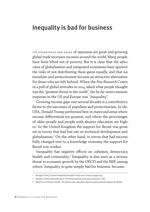## Inequality is bad for business

THE ADVANTAGES AND GAINS of openness are great and growing global trade increases incomes around the world. Many people have been lifted out of poverty. But it is clear that the advocates of globalisation and integrated economies have ignored the risks of not distributing these gains equally, and that nationalism and protectionism become an attractive alternative for those who are left behind. When the *Pew Research Center*, in a poll of global attitudes in 2014, asked what people thought was the "greatest threat to the world", the by far most common response in the US and Europe was "inequality".

Growing income gaps over several decades is a contributory factor to the successes of populism and protectionism. In the USA, Donald Trump performed best in states and areas where income differentials are greatest, and where the percentages of older people and people with shorter education are higher.<sup>1</sup> In the United Kingdom the support for Brexit was greatest in towns that had lost out on technical development and globalisation.2 On the other hand, in towns that had successfully changed over to a knowledge economy the support for Brexit was weaker.

Inequality has negative effects on cohesion, democracy, health and criminality.<sup>3</sup> Inequality is also seen as a serious threat to economic growth by the OECD and the IMF, among others. Inequality is quite simply bad for business, because:

<sup>1</sup> Bruegel (2016), *Income inequality boosted Trump vote*, www.bruegel.org.

<sup>2</sup> Baldwin (2016), *Brexit Beckons: Thinking ahead by leading economists*, VOX.

<sup>3</sup> Wilkinson & Pickett (2009), *The Spirit Level. Why More Equal Societies Almost Always Do Better*.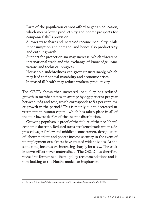- Parts of the population cannot afford to get an education, which means lower productivity and poorer prospects for companies' skills provision.
- A lower wage share and increased income inequality inhibit consumption and demand, and hence also productivity and output growth.
- Support for protectionism may increase, which threatens international trade and the exchange of knowledge, innovations and technical progress.
- Household indebtedness can grow unsustainably, which may lead to financial instability and economic crises. Increased ill-health may reduce workers' productivity.

The OECD shows that increased inequality has reduced growth in member states on average by 0.35 per cent per year between 1985 and 2010, which corresponds to 8.5 per cent lower growth in the period.4 This is mainly due to decreased investments in human capital, which has taken place in all of the four lowest deciles of the income distribution.

Growing populism is proof of the failure of the neo-liberal economic doctrine. Reduced taxes, weakened trade unions, depressed wages for low and middle income earners, deregulation of labour markets and poorer income security in the event of unemployment or sickness have created wider divides. At the same time, incomes are increasing sharply for a few. The trickle-down effect never materialised. The OECD has therefore revised its former neo-liberal policy recommendations and is now looking to the Nordic model for inspiration.

<sup>4</sup> Cingano (2014), *Trends in Income Inequality and its Impacts on Economic Growth*, OECD.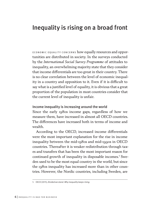## Inequality is rising on a broad front

ECONOMIC EQUALITY CONCERNS how equally resources and opportunities are distributed in society. In the surveys conducted by the *International Social Survey Programme* of attitudes to inequality, an overwhelming majority state that they consider that income differentials are too great in their country. There is no clear correlation between the level of economic inequality in a country and opposition to it. Even if it is difficult to say what is a justified level of equality, it is obvious that a great proportion of the population in most countries consider that the current level of inequality is unfair.

#### Income inequality is increasing around the world

Since the early 1980s income gaps, regardless of how we measure them, have increased in almost all OECD countries. The differences have increased both in terms of income and wealth.

According to the OECD, increased income differentials were the most important explanation for the rise in income inequality between the mid-1980s and mid-1990s in OECD countries. Thereafter it is weaker redistribution through taxes and transfers that has been the most important reason for continued growth of inequality in disposable incomes.<sup>5</sup> Sweden used to be the most equal country in the world, but since the 1980s inequality has increased more than in other countries. However, the Nordic countries, including Sweden, are

<sup>5</sup> OECD (2011), *Divided we stand. Why inequality keeps rising*.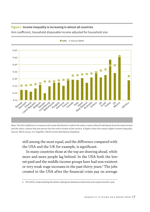

#### Figure 1 Income inequality is increasing in almost all countries

Gini coefficient, household disposable income adjusted for household size

*Note: The Gini coefficient is a measure of income distribution in which the value 0 means that all individuals have the same income and the value 1 means that one person has the entire income of the country. A higher value thus means higher income inequality. Source: OECD (2015), In It Together; OECD Income Distribution Database.*

still among the most equal, and the difference compared with the USA and the UK for example, is significant.

In many countries those at the top are drawing ahead, while more and more people lag behind. In the USA both the lowest-paid and the middle income groups have had non-existent or very weak wage increases in the past thirty years.6 The jobs created in the USA after the financial crisis pay on average

<sup>6</sup> EPI (2015), *Understanding the historic divergence between productivity and a typical worker´s pay.*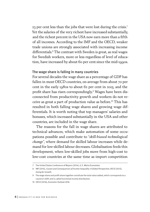23 per cent less than the jobs that were lost during the crisis.7 Yet the salaries of the very richest have increased substantially, and the richest percent in the USA now earn more than a fifth of all incomes. According to the IMF and the OECD, weaker trade unions are strongly associated with increasing income differentials.8 The contrast with Sweden is great, as real wages for Swedish workers, more or less regardless of level of education, have increased by about 60 per cent since the mid-1990s.

#### The wage share is falling in many countries

For several decades the wage share as a percentage of GDP has fallen in most OECD countries, on average from about 70 per cent in the early 1980s to about 62 per cent in 2015, and the profit share has risen correspondingly.9 Wages have been disconnected from productivity growth and workers do not receive as great a part of production value as before.10 This has resulted in both falling wage shares and growing wage differentials. It is worth noting that top managers' salaries and bonuses, which increased substantially in the USA and other countries, are included in the wage share.

The reasons for the fall in wage shares are attributed to technical advances, which make automation of some occupations possible and contribute to "*skill-biased technological change*", where demand for skilled labour increases while demand for low-skilled labour decreases. Globalisation feeds this development, when low-skilled jobs move from high-cost to low-cost countries at the same time as import competition

<sup>7</sup> The United States Conference of Mayors (2014), *U.S. Metro Economies*.

<sup>8</sup> IMF (2015), *Causes and Consequences of Income Inequality: A Global Perspective*; OECD (2012), *Going for Growth.*

<sup>9</sup> The wage share and profit share together constitute the total value added, which corresponds to a country's GDP, and is called functional income distribution.

<sup>10</sup> OECD (2016), *Economic Outlook 2016*.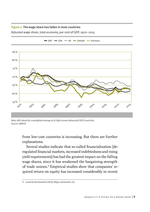#### Figure 2 The wage share has fallen in most countries

Adjusted wage share, total economy, per cent of GDP, 1970–2015



 $\rightarrow$  ADV  $\rightarrow$  USA  $\rightarrow$  UK  $\rightarrow$  Sweden  $\rightarrow$  Germany

*Note: ADV stands for unweighted average of 16 high income (advanced) OECD countries. Source: AMECO.*

from low-cost countries is increasing. But there are further explanations.

Several studies indicate that so-called financialization (deregulated financial markets, increased indebtedness and rising yield requirements) has had the greatest impact on the falling wage shares, since it has weakened the bargaining strength of trade unions.11 Empirical studies show that companies' required return on equity has increased considerably in recent

<sup>11</sup> Lavoie & Stockhammer (2013), *Wage-Led Growth*, ILO.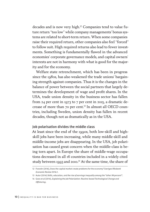decades and is now very high.12 Companies tend to value future return "too low" while company managements' bonus systems are related to short-term return. When some companies raise their required return, other companies also feel "forced" to follow suit. High required returns also lead to fewer investments. Something is fundamentally flawed in the advanced economies' corporate governance models, and capital owners´ interests are not in harmony with what is good for the majority and for the economy.

Welfare state retrenchment, which has been in progress since the 1980s, has also weakened the trade unions' bargaining strength against companies. Thus it is the changes in the balance of power between the social partners that largely determines the development of wage and profit shares. In the USA, trade union density in the business sector has fallen from 24 per cent in 1973 to 7 per cent in 2015, a dramatic decrease of more than 70 per cent.13 In almost all OECD countries, including Sweden, union density has fallen in recent decades, though not as dramatically as in the USA.

#### Job polarisation divides the middle class

At least since the end of the 1990s, both low-skill and highskill jobs have been increasing, while many middle-skill and middle-income jobs are disappearing. In the USA, job polarisation has caused great concern when the middle-class is being torn apart. In Europe the share of middle-wage occupations decreased in all 16 countries included in a widely cited study between 1993 and 2010.<sup>14</sup> At the same time, the share of

<sup>12</sup> Franzén (2016), Does the capital market create problems for the economy*? Sveriges Riksbank Economic Review* 2016:1.

<sup>13</sup> Autor (2014) *Skills, education, and the rise of earnings inequality among the "other 99 percent"*.

<sup>14</sup> Goos et al (2014), *Explaining the Job Polarization: Routine-based Technological Change and Offshoring*.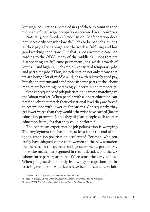low-wage occupations increased in 14 of these 16 countries and the share of high-wage occupations increased in all countries.

Naturally, the Swedish Trade Union Confederation does not necessarily consider low-skill jobs to be bad jobs, as long as they pay a living wage and the work is fulfilling and has good working conditions. But that is not always the case. According to the OECD many of the middle-skill jobs that are disappearing are full-time permanent jobs, while growth of low-skill and high-skill jobs mainly consists of temporary jobs and part-time jobs.15 Thus, job polarisation not only means that we are losing a lot of middle-skill jobs with relatively good pay, but also that terms and conditions in some parts of the labour market are becoming increasingly uncertain and temporary.

One consequence of job polarisation is worse matching in the labour market. When people with a longer education cannot find jobs that match their educational level they are forced to accept jobs with lower qualifications. Consequently, they get lower wages than they would otherwise have earned (lower education premiums), and they displace people with shorter education from jobs that they could perform.<sup>16</sup>

The American experience of job polarisation is worrying. The employment rate has fallen, at least since the end of the 1990s, when job polarisation accelerated. For men, who generally have adapted worse than women to the new situation, the increase in the share of collage attainment, particularly for white males, has stagnated in recent decades, and the US labour force participation has fallen since the early 2000s.<sup>17</sup> When job growth is mainly in low-pay occupations, an increasing number of Americans have been forced to take jobs

<sup>15</sup> OECD (2015), *In It Together. Why Less Inequality Benefits All*.

<sup>16</sup> Beaudry et al (2013), *The Great Reversal in the Demand for Skills and Cognitive Tasks*.

<sup>17</sup> Autor (2010), *The Polarization of Job Opportunities in the US Labor Market.*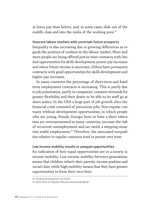at lower pay than before, and, in some cases, slide out of the middle class and into the ranks of the working poor.<sup>18</sup>

#### Insecure labour markets with uncertain future prospects

Inequality is also increasing due to growing differences as regards the position of workers in the labour market. More and more people are being offered just-in-time contracts with limited opportunities for skills development, poorer pay increases and where future income is uncertain. Others have permanent contracts with good opportunities for skills development and higher pay increases.

In many countries the percentage of short-term and fixed term employment contracts is increasing. This is partly due to job polarisation, partly to companies' constant demands for greater flexibility and their desire to be able to let staff go at short notice. In the USA a large part of job growth after the financial crisis consisted of precarious jobs. Non-regular contracts without development opportunities, in which people who are young, female, foreign born or have a short education are overrepresented in many countries, increase the risk of recurrent unemployment and are rarely a stepping stone into stable employment.19 Therefore, the associated inequalities relative to regular contracts tend to persist over time.

#### Low income mobility results in unequal opportunities

An indication of how equal opportunities are in a society is income mobility. Low income mobility between generations means that children inherit their parents' income position and social class, while high mobility means that they have greater opportunities to form their own lives.

<sup>18</sup> The National Employment Law Project.

<sup>19</sup> OECD (2015), *In It Together. Why Less Inequality Benefit All*.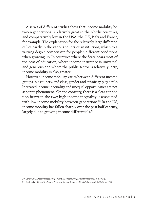A series of different studies show that income mobility between generations is relatively great in the Nordic countries, and comparatively low in the USA, the UK, Italy and France, for example. The explanation for the relatively large differences lies partly in the various countries' institutions, which to a varying degree compensate for people's different conditions when growing up. In countries where the State bears most of the cost of education, where income insurance is universal and generous and where the public sector is relatively large, income mobility is also greater.

However, income mobility varies between different income groups in a country, and class, gender and ethnicity play a role. Increased income inequality and unequal opportunities are not separate phenomena. On the contrary, there is a clear connection between the two; high income inequality is associated with low income mobility between generations.<sup>20</sup> In the US. income mobility has fallen sharply over the past half century, largely due to growing income differentials.<sup>21</sup>

<sup>20</sup> Corak (2013), *Income inequality, equality of opportunity, and intergenerational mobility*.

<sup>21</sup> Chetty et al (2016), *The Fading American Dream: Trends in Absolute Income Mobility Since 1940*.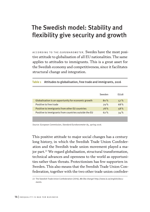# The Swedish model: Stability and flexibility give security and growth

ACCORDING TO THE *EUROBAROMETER* , Swedes have the most positive attitude to globalisation of all EU nationalities. The same applies to attitudes to immigrants. This is a great asset for the Swedish economy and competitiveness, since it facilitates structural change and integration.

|                                                      | Sweden | FU <sub>2</sub> 8 |
|------------------------------------------------------|--------|-------------------|
| Globalisation is an opportunity for economic growth  | 80%    | 57%               |
| Positive to free trade                               | 79%    | 68%               |
| Positive to immigrants from other EU countries       | 78%    | 58%               |
| Positive to immigrants from countries outside the EU | 62%    | 34%               |
|                                                      |        |                   |

#### Table 1 Attitudes to globalisation, free trade and immigrants, 2016

*Source: European Commission, Standard Eurobarometer 85, spring 2016.*

This positive attitude to major social changes has a century long history, in which the Swedish Trade Union Confederation and the Swedish trade union movement played a major part.<sup>22</sup> We regard globalisation, structural transformation, technical advances and openness to the world as opportunities rather than threats. Protectionism has few supporters in Sweden. This also means that the Swedish Trade Union Confederation, together with the two other trade union confeder-

<sup>22</sup> The Swedish Trade Union Confederation (2016), *We like change! http://www.lo.se/english/documents.*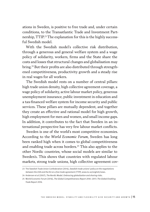ations in Sweden, is positive to free trade and, under certain conditions, to the Transatlantic Trade and Investment Partnership, TTIP.23 The explanation for this is the highly successful Swedish model.

With the Swedish model's collective risk distribution, through a generous and general welfare system and a wage policy of solidarity, workers, firms and the State share the costs and losses that structural changes and globalisation may bring.24 But their profits are also distributed through strengthened competitiveness, productivity growth and a steady rise in real wages for all workers.

The Swedish model rests on a number of central pillars: high trade union density, high collective agreement coverage, a wage policy of solidarity, active labour market policy, generous unemployment insurance, public investment in education and a tax-financed welfare system for income security and public services. These pillars are mutually dependent, and together they create an effective and rational model for high growth, high employment for men and women, and small income gaps. In addition, it contributes to the fact that Sweden in an international perspective has very few labour market conflicts.

Sweden is one of the world's most competitive economies. According to the *World Economic Forum*, Sweden has long been ranked high when it comes to global competitiveness and enabling trade across borders.25 This also applies to the other Nordic countries, whose social models are similar to Sweden's. This shows that countries with regulated labour markets, strong trade unions, high collective agreement cov-

<sup>23</sup> The Swedish Trade Union Confederation (2014), *Swedish trade unions' policy on the negotiations between the USA and the EU on a free trade agreement (TTIP)*, www.lo.se/english/news.

<sup>24</sup> Andersen et al (2007), *The Nordic Model. Embracing globalization and sharing risks*.

<sup>25</sup> World Economic Forum (2016), *The Global Competitiveness Report 2016–2017*; *The Global Enabling Trade Report 2016*.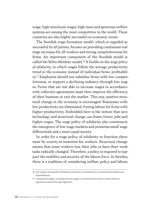erage, high minimum wages, high taxes and generous welfare systems are among the most competitive in the world. These countries are also highly successful in economic terms.

The Swedish wage formation model, which is regarded as successful by all parties, focuses on providing continuous real wage increases for all workers and strong competitiveness for firms. An important component of the Swedish model is called the Rehn-Meidner model.26 It builds on the *wage policy of solidarity*, in which wages follow the average productivity trend in the economy instead of individual firms' profitability.27 Employees should not subsidise firms with low competitiveness, or support a declining industry through low wages. Firms that are not able to increase wages in accordance with collective agreements must then improve the efficiency of their business or exit the market. This way, positive structural change in the economy is encouraged: Businesses with low productivity are eliminated, freeing labour for firms with higher productivity. Embedded here is the notion that new technology and structural change can foster future jobs and higher wages. The wage policy of solidarity also counteracts the emergence of low-wage markets and promotes small wage differentials and a more equal society.

In order for a wage policy of solidarity to function there must be *security in transition* for workers. Structural change means that some workers lose their jobs or have their work tasks radically changed. Therefore, a policy is required to support the mobility and security of the labour force. In Sweden, there is a tradition of considering welfare policy and labour

<sup>26</sup> The model is named after the Swedish Trade Union Confederation´s economists Gösta Rehn and Rudolf Meidner.

<sup>27</sup> In Sweden all wages, including minimum wages, are determined in industry-wide collective agreements and not through legislation.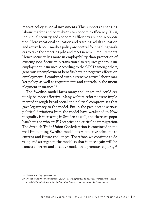market policy as social investments. This supports a changing labour market and contributes to economic efficiency. Thus, individual security and economic efficiency are not in opposition. Here vocational education and training, adult education and active labour market policy are central for enabling workers to take the emerging jobs and meet new skill requirements. Hence security lies more in employability than protection of existing jobs. Security in transition also requires generous unemployment insurance. According to the OECD among others, generous unemployment benefits have no negative effects on employment if combined with extensive active labour market policy, as well as requirements and controls in the unemployment insurance.<sup>28</sup>

The Swedish model faces many challenges and could certainly be more effective. Many welfare reforms were implemented through broad social and political compromises that gave legitimacy to the model. But in the past decade serious political deviations from the model have weakened it. Now inequality is increasing in Sweden as well, and there are populists here too who are EU sceptics and critical to immigration. The Swedish Trade Union Confederation is convinced that a well-functioning Swedish model offers effective solutions to current and future challenges. Therefore, we continue to develop and strengthen the model so that it once again will become a coherent and effective model that promotes equality.29

<sup>28</sup> OECD (2006), *Employment Outlook*.

<sup>29</sup> Swedish Trade Union Confederation (2015), *Full employment and a wage policy of solidarity. Report to the 2016 Swedish Trade Union Confederation Congress*, www.lo.se/english/documents.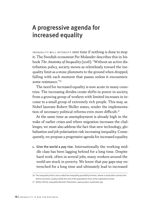## A progressive agenda for increased equality

INEQUALITY WILL INTENSIFY OVer time if nothing is done to stop it. The Swedish economist Per Molander describes this in his book *The Anatomy of Inequality* (2016): "Without an active distribution policy, society moves as relentlessly toward the inequality limit as a stone plummets to the ground when dropped, falling with each moment that passes unless it encounters some resistance."30

The need for increased equality is now acute in many countries. The increasing divides create shifts in power in society, from a growing group of workers with limited increases in income to a small group of extremely rich people. This may, as Nobel laureate Robert Shiller states, render the implementation of necessary political reforms even more difficult.<sup>31</sup>

At the same time as unemployment is already high in the wake of earlier crises and where migration increases the challenges, we must also address the fact that new technology, globalisation and job polarisation risk increasing inequality. Consequently, we propose a progressive agenda for increased equality.

1. Give the world a pay rise. Internationally the working middle class has been lagging behind for a long time. Despite hard work, often in several jobs, many workers around the world are stuck in poverty. We know that pay gaps stay entrenched for a long time and ultimately lead to increased

<sup>30</sup> The inequality limit is also called the inequality possibility frontier, where a small elite controls the entire economic surplus while the rest of the population lives at the subsistence level.

<sup>31</sup> Shiller (2014), *Inequality Disaster Prevention*, www.project-syndicate.org.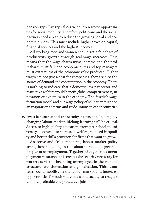pension gaps. Pay gaps also give children worse opportunities for social mobility. Therefore, politicians and the social partners need a plan to reduce the growing social and economic divides. This must include higher taxes on capital, financial services and the highest incomes.

All working men and women should get a fair share of productivity growth through real wage increases. This means that the wage shares must increase and the profit shares must fall, and economic elites and top managers must extract less of the economic value produced. Higher wages are not just a cost for companies, they are also the source of demand and consumption in the economy. There is nothing to indicate that a domestic low-pay sector and restrictive welfare would benefit global competitiveness, innovation or dynamics in the economy. The Swedish wage formation model and our wage policy of solidarity might be an inspiration to firms and trade unions in other countries.

2. Invest in human capital and security in transition. In a rapidly changing labour market, lifelong learning will be crucial. Access to high quality education, from pre-school to university, is central for increased welfare, reduced inequality and better skills provision for firms that want to grow.

An active and skills enhancing labour market policy strengthens matching in the labour market and prevents long-term unemployment. Together with generous unemployment insurance, this creates the security necessary for workers at risk of becoming unemployed in the wake of structural transformation and globalisation. This stimulates sound mobility in the labour market and increases opportunities for both individuals and society to readjust to more profitable and productive jobs.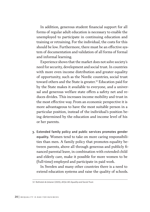In addition, generous student financial support for all forms of regular adult education is necessary to enable the unemployed to participate in continuing education and training or retraining. For the individual, the costs for this should be low. Furthermore, there must be an effective system of documentation and validation of all forms of formal and informal learning.

Experience shows that the market does not solve society's need for security, development and social trust. In countries with more even income distribution and greater equality of opportunity, such as the Nordic countries, social trust toward others and the State is greater.<sup>32</sup> Education paid for by the State makes it available to everyone, and a universal and generous welfare state offers a safety net and reduces divides. This increases income mobility and trust in the most effective way. From an economic perspective it is more advantageous to have the most suitable person in a particular position, instead of the individual's position being determined by the education and income level of his or her parents.

3. Extended family policy and public services promotes gender equality. Women tend to take on more caring responsibilities than men. A family policy that promotes equality between parents, above all through generous and publicly financed parental leave, in combination with extended child and elderly care, make it possible for more women to be (full-time) employed and participate in paid work.

In Sweden and many other countries there is a need to extend education systems and raise the quality of schools.

<sup>32</sup> Rothstein & Uslaner (2005), *All for All: Equality and Social Trust*.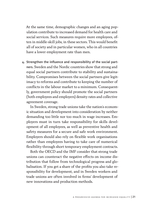At the same time, demographic changes and an aging population contribute to increased demand for health care and social services. Such measures require more employees, often in middle-skill jobs, in these sectors. This would benefit all of society and in particular women, who in all countries have a lower employment rate than men.

4. Strengthen the influence and responsibility of the social partners. Sweden and the Nordic countries show that strong and equal social partners contribute to stability and sustainability. Compromises between the social partners give legitimacy to reforms and contribute to keeping the number of conflicts in the labour market to a minimum. Consequently, government policy should promote the social partners (both employees and employers) density rates and collective agreement coverage.

In Sweden, strong trade unions take the nation´s economic situation and development into consideration by neither demanding too little nor too much in wage increases. Employers must in turn take responsibility for skills development of all employees, as well as preventive health and safety measures for a secure and safe work environment. Employers should also rely on flexible work organisations rather than employees having to take care of numerical flexibility through short temporary employment contracts.

Both the OECD and the IMF consider that strong trade unions can counteract the negative effects on income distribution that follow from technological progress and globalisation. If you get a share of the profits you also take responsibility for development, and in Sweden workers and trade unions are often involved in firms' development of new innovations and production methods.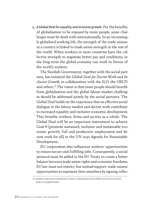5. A Global Deal for equality and inclusive growth. For the benefits of globalisation to be enjoyed by more people, some challenges must be dealt with internationally. In an increasingly globalised working life, the strength of the trade unions in a country is linked to trade union strength in the rest of the world. When workers in more countries have the collective strength to negotiate better pay and conditions, in the long term the global economy can work in favour of the world's workers.

The Swedish Government, together with the social partners, has initiated the *Global Deal for Decent Work and Inclusive Growth,* in collaboration with the ILO, the OECD and others.33 The vision is that more people should benefit from globalisation and the global labour market challenges should be addressed jointly by the social partners. The Global Deal builds on the experience that an effective social dialogue in the labour market and decent work contribute to increased equality and inclusive economic development. This benefits workers, firms and society as a whole. The Global Deal will be an important instrument to achieve Goal 8 (promote sustained, inclusive and sustainable economic growth, full and productive employment and decent work for all) in the UN 2030 Agenda for Sustainable Development.

EU cooperation also influences workers' opportunities to ensure secure and fulfilling jobs. Consequently, a social protocol must be added to the EU Treaty to create a better balance between trade union rights and economic freedoms. EU law must not restrict, but instead support, trade unions' opportunities to represent their members by signing collec-

<sup>33</sup> Swedish Trade Union Confederation (2016), *Global Deal for Decent Work and Inclusive Growth*, www.lo.se/english/news.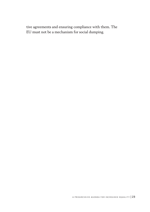tive agreements and ensuring compliance with them. The EU must not be a mechanism for social dumping.